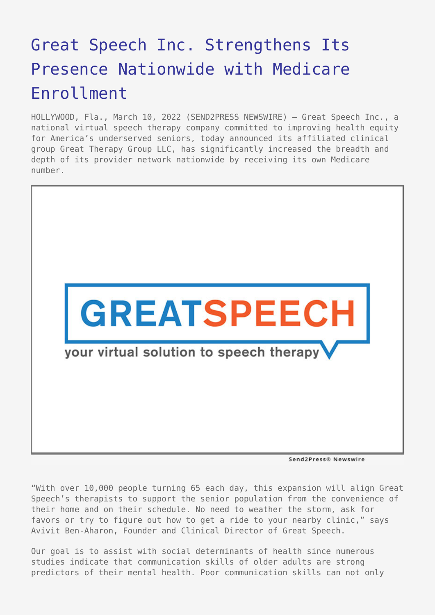## [Great Speech Inc. Strengthens Its](https://www.send2press.com/wire/great-speech-inc-strengthens-its-presence-nationwide-with-medicare-enrollment/) [Presence Nationwide with Medicare](https://www.send2press.com/wire/great-speech-inc-strengthens-its-presence-nationwide-with-medicare-enrollment/) [Enrollment](https://www.send2press.com/wire/great-speech-inc-strengthens-its-presence-nationwide-with-medicare-enrollment/)

HOLLYWOOD, Fla., March 10, 2022 (SEND2PRESS NEWSWIRE) — Great Speech Inc., a national virtual speech therapy company committed to improving health equity for America's underserved seniors, today announced its affiliated clinical group Great Therapy Group LLC, has significantly increased the breadth and depth of its provider network nationwide by receiving its own Medicare number.



Send2Press® Newswire

"With over 10,000 people turning 65 each day, this expansion will align Great Speech's therapists to support the senior population from the convenience of their home and on their schedule. No need to weather the storm, ask for favors or try to figure out how to get a ride to your nearby clinic," says Avivit Ben-Aharon, Founder and Clinical Director of Great Speech.

Our goal is to assist with social determinants of health since numerous studies indicate that communication skills of older adults are strong predictors of their mental health. Poor communication skills can not only